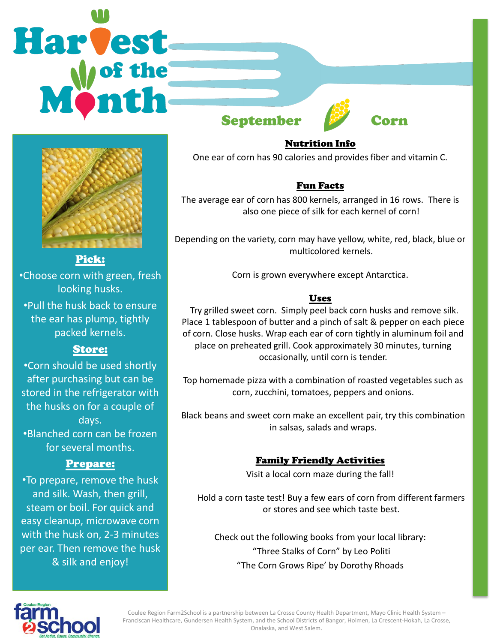# **Harvest**





# Nutrition Info

One ear of corn has 90 calories and provides fiber and vitamin C.

### Fun Facts

The average ear of corn has 800 kernels, arranged in 16 rows. There is also one piece of silk for each kernel of corn!

Depending on the variety, corn may have yellow, white, red, black, blue or multicolored kernels.

Corn is grown everywhere except Antarctica.

### **Uses**

Try grilled sweet corn. Simply peel back corn husks and remove silk. Place 1 tablespoon of butter and a pinch of salt & pepper on each piece of corn. Close husks. Wrap each ear of corn tightly in aluminum foil and place on preheated grill. Cook approximately 30 minutes, turning occasionally, until corn is tender.

Top homemade pizza with a combination of roasted vegetables such as corn, zucchini, tomatoes, peppers and onions.

Black beans and sweet corn make an excellent pair, try this combination in salsas, salads and wraps.

### Family Friendly Activities

Visit a local corn maze during the fall!

Hold a corn taste test! Buy a few ears of corn from different farmers or stores and see which taste best.

Check out the following books from your local library: "Three Stalks of Corn" by Leo Politi "The Corn Grows Ripe' by Dorothy Rhoads



Coulee Region Farm2School is a partnership between La Crosse County Health Department, Mayo Clinic Health System – Franciscan Healthcare, Gundersen Health System, and the School Districts of Bangor, Holmen, La Crescent-Hokah, La Crosse, Onalaska, and West Salem.



### Pick:

•Choose corn with green, fresh looking husks.

•Pull the husk back to ensure the ear has plump, tightly packed kernels.

## Store:

•Corn should be used shortly after purchasing but can be stored in the refrigerator with the husks on for a couple of days. •Blanched corn can be frozen for several months.

### Prepare:

•To prepare, remove the husk and silk. Wash, then grill, steam or boil. For quick and easy cleanup, microwave corn with the husk on, 2-3 minutes per ear. Then remove the husk & silk and enjoy!